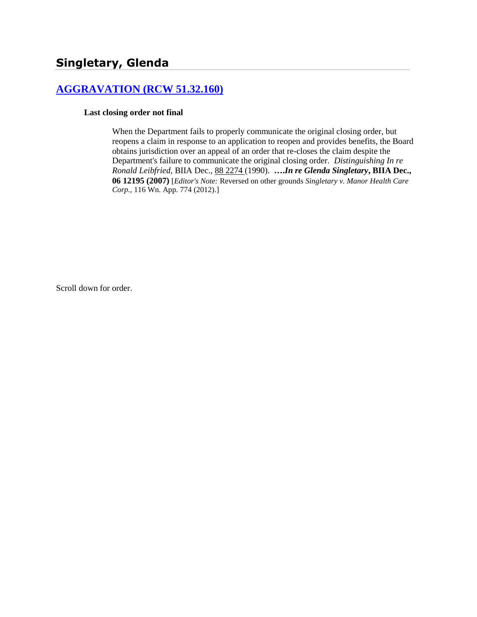# **[AGGRAVATION \(RCW 51.32.160\)](http://www.biia.wa.gov/SDSubjectIndex.html#AGGRAVATION)**

#### **Last closing order not final**

When the Department fails to properly communicate the original closing order, but reopens a claim in response to an application to reopen and provides benefits, the Board obtains jurisdiction over an appeal of an order that re-closes the claim despite the Department's failure to communicate the original closing order. *Distinguishing In re Ronald Leibfried,* BIIA Dec., 88 [2274](http://www.biia.wa.gov/significantdecisions/882274.htm) (1990). **….***In re Glenda Singletary***, BIIA Dec., 06 12195 (2007)** [*Editor's Note:* Reversed on other grounds *Singletary v. Manor Health Care Corp.,* 116 Wn. App. 774 (2012).]

Scroll down for order.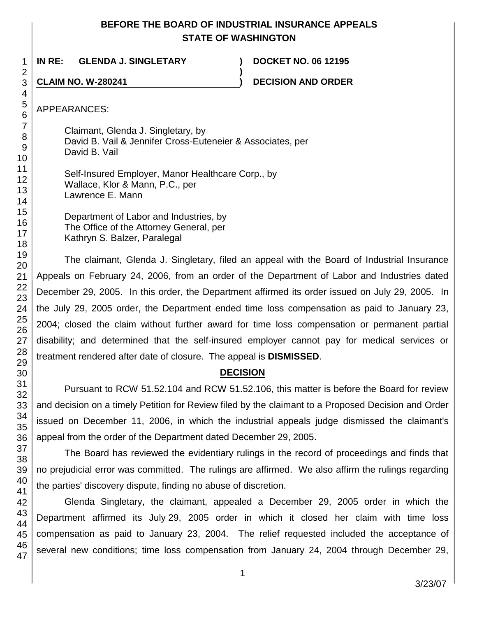# **BEFORE THE BOARD OF INDUSTRIAL INSURANCE APPEALS STATE OF WASHINGTON**

**)**

**IN RE: GLENDA J. SINGLETARY ) DOCKET NO. 06 12195**

**CLAIM NO. W-280241 ) DECISION AND ORDER**

APPEARANCES:

Claimant, Glenda J. Singletary, by David B. Vail & Jennifer Cross-Euteneier & Associates, per David B. Vail

Self-Insured Employer, Manor Healthcare Corp., by Wallace, Klor & Mann, P.C., per Lawrence E. Mann

Department of Labor and Industries, by The Office of the Attorney General, per Kathryn S. Balzer, Paralegal

The claimant, Glenda J. Singletary, filed an appeal with the Board of Industrial Insurance Appeals on February 24, 2006, from an order of the Department of Labor and Industries dated December 29, 2005. In this order, the Department affirmed its order issued on July 29, 2005. In the July 29, 2005 order, the Department ended time loss compensation as paid to January 23, 2004; closed the claim without further award for time loss compensation or permanent partial disability; and determined that the self-insured employer cannot pay for medical services or treatment rendered after date of closure. The appeal is **DISMISSED**.

# **DECISION**

Pursuant to RCW 51.52.104 and RCW 51.52.106, this matter is before the Board for review and decision on a timely Petition for Review filed by the claimant to a Proposed Decision and Order issued on December 11, 2006, in which the industrial appeals judge dismissed the claimant's appeal from the order of the Department dated December 29, 2005.

The Board has reviewed the evidentiary rulings in the record of proceedings and finds that no prejudicial error was committed. The rulings are affirmed. We also affirm the rulings regarding the parties' discovery dispute, finding no abuse of discretion.

Glenda Singletary, the claimant, appealed a December 29, 2005 order in which the Department affirmed its July 29, 2005 order in which it closed her claim with time loss compensation as paid to January 23, 2004. The relief requested included the acceptance of several new conditions; time loss compensation from January 24, 2004 through December 29,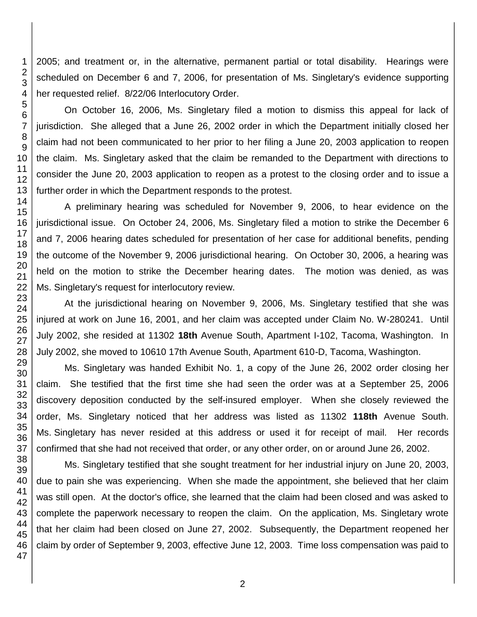2005; and treatment or, in the alternative, permanent partial or total disability. Hearings were scheduled on December 6 and 7, 2006, for presentation of Ms. Singletary's evidence supporting her requested relief. 8/22/06 Interlocutory Order.

On October 16, 2006, Ms. Singletary filed a motion to dismiss this appeal for lack of jurisdiction. She alleged that a June 26, 2002 order in which the Department initially closed her claim had not been communicated to her prior to her filing a June 20, 2003 application to reopen the claim. Ms. Singletary asked that the claim be remanded to the Department with directions to consider the June 20, 2003 application to reopen as a protest to the closing order and to issue a further order in which the Department responds to the protest.

A preliminary hearing was scheduled for November 9, 2006, to hear evidence on the jurisdictional issue. On October 24, 2006, Ms. Singletary filed a motion to strike the December 6 and 7, 2006 hearing dates scheduled for presentation of her case for additional benefits, pending the outcome of the November 9, 2006 jurisdictional hearing. On October 30, 2006, a hearing was held on the motion to strike the December hearing dates. The motion was denied, as was Ms. Singletary's request for interlocutory review.

At the jurisdictional hearing on November 9, 2006, Ms. Singletary testified that she was injured at work on June 16, 2001, and her claim was accepted under Claim No. W-280241. Until July 2002, she resided at 11302 **18th** Avenue South, Apartment I-102, Tacoma, Washington. In July 2002, she moved to 10610 17th Avenue South, Apartment 610-D, Tacoma, Washington.

Ms. Singletary was handed Exhibit No. 1, a copy of the June 26, 2002 order closing her claim. She testified that the first time she had seen the order was at a September 25, 2006 discovery deposition conducted by the self-insured employer. When she closely reviewed the order, Ms. Singletary noticed that her address was listed as 11302 **118th** Avenue South. Ms. Singletary has never resided at this address or used it for receipt of mail. Her records confirmed that she had not received that order, or any other order, on or around June 26, 2002.

Ms. Singletary testified that she sought treatment for her industrial injury on June 20, 2003, due to pain she was experiencing. When she made the appointment, she believed that her claim was still open. At the doctor's office, she learned that the claim had been closed and was asked to complete the paperwork necessary to reopen the claim. On the application, Ms. Singletary wrote that her claim had been closed on June 27, 2002. Subsequently, the Department reopened her claim by order of September 9, 2003, effective June 12, 2003. Time loss compensation was paid to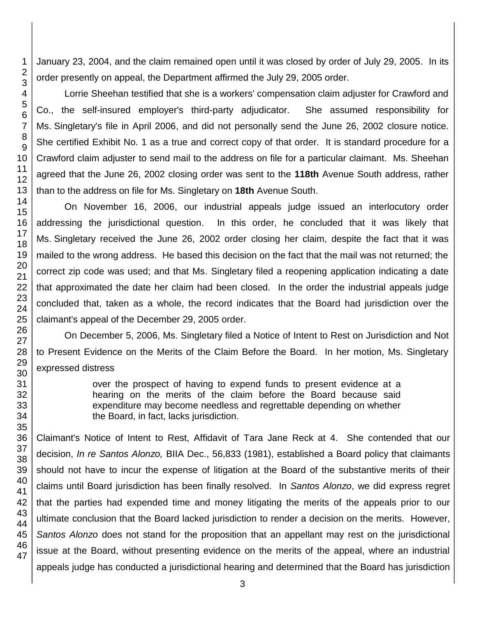January 23, 2004, and the claim remained open until it was closed by order of July 29, 2005. In its order presently on appeal, the Department affirmed the July 29, 2005 order.

Lorrie Sheehan testified that she is a workers' compensation claim adjuster for Crawford and Co., the self-insured employer's third-party adjudicator. She assumed responsibility for Ms. Singletary's file in April 2006, and did not personally send the June 26, 2002 closure notice. She certified Exhibit No. 1 as a true and correct copy of that order. It is standard procedure for a Crawford claim adjuster to send mail to the address on file for a particular claimant. Ms. Sheehan agreed that the June 26, 2002 closing order was sent to the **118th** Avenue South address, rather than to the address on file for Ms. Singletary on **18th** Avenue South.

On November 16, 2006, our industrial appeals judge issued an interlocutory order addressing the jurisdictional question. In this order, he concluded that it was likely that Ms. Singletary received the June 26, 2002 order closing her claim, despite the fact that it was mailed to the wrong address. He based this decision on the fact that the mail was not returned; the correct zip code was used; and that Ms. Singletary filed a reopening application indicating a date that approximated the date her claim had been closed. In the order the industrial appeals judge concluded that, taken as a whole, the record indicates that the Board had jurisdiction over the claimant's appeal of the December 29, 2005 order.

On December 5, 2006, Ms. Singletary filed a Notice of Intent to Rest on Jurisdiction and Not to Present Evidence on the Merits of the Claim Before the Board. In her motion, Ms. Singletary expressed distress

> over the prospect of having to expend funds to present evidence at a hearing on the merits of the claim before the Board because said expenditure may become needless and regrettable depending on whether the Board, in fact, lacks jurisdiction.

Claimant's Notice of Intent to Rest, Affidavit of Tara Jane Reck at 4. She contended that our decision, *In re Santos Alonzo,* BIIA Dec., 56,833 (1981), established a Board policy that claimants should not have to incur the expense of litigation at the Board of the substantive merits of their claims until Board jurisdiction has been finally resolved. In *Santos Alonzo*, we did express regret that the parties had expended time and money litigating the merits of the appeals prior to our ultimate conclusion that the Board lacked jurisdiction to render a decision on the merits. However, *Santos Alonzo* does not stand for the proposition that an appellant may rest on the jurisdictional issue at the Board, without presenting evidence on the merits of the appeal, where an industrial appeals judge has conducted a jurisdictional hearing and determined that the Board has jurisdiction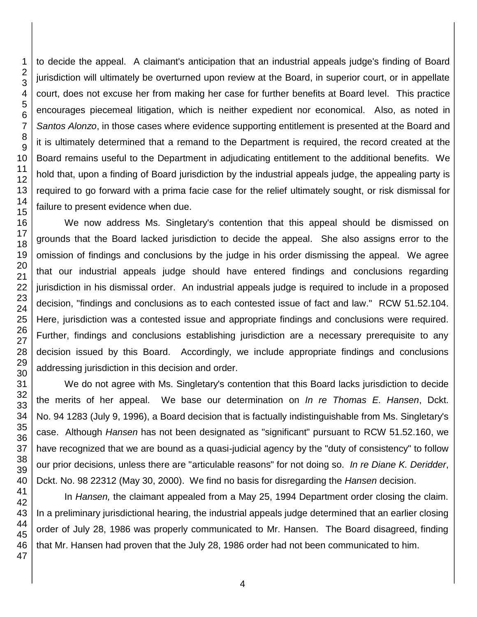to decide the appeal. A claimant's anticipation that an industrial appeals judge's finding of Board jurisdiction will ultimately be overturned upon review at the Board, in superior court, or in appellate court, does not excuse her from making her case for further benefits at Board level. This practice encourages piecemeal litigation, which is neither expedient nor economical. Also, as noted in *Santos Alonzo*, in those cases where evidence supporting entitlement is presented at the Board and it is ultimately determined that a remand to the Department is required, the record created at the Board remains useful to the Department in adjudicating entitlement to the additional benefits. We hold that, upon a finding of Board jurisdiction by the industrial appeals judge, the appealing party is required to go forward with a prima facie case for the relief ultimately sought, or risk dismissal for failure to present evidence when due.

We now address Ms. Singletary's contention that this appeal should be dismissed on grounds that the Board lacked jurisdiction to decide the appeal. She also assigns error to the omission of findings and conclusions by the judge in his order dismissing the appeal. We agree that our industrial appeals judge should have entered findings and conclusions regarding jurisdiction in his dismissal order. An industrial appeals judge is required to include in a proposed decision, "findings and conclusions as to each contested issue of fact and law." RCW 51.52.104. Here, jurisdiction was a contested issue and appropriate findings and conclusions were required. Further, findings and conclusions establishing jurisdiction are a necessary prerequisite to any decision issued by this Board. Accordingly, we include appropriate findings and conclusions addressing jurisdiction in this decision and order.

We do not agree with Ms. Singletary's contention that this Board lacks jurisdiction to decide the merits of her appeal. We base our determination on *In re Thomas E. Hansen*, Dckt. No. 94 1283 (July 9, 1996), a Board decision that is factually indistinguishable from Ms. Singletary's case. Although *Hansen* has not been designated as "significant" pursuant to [RCW 51.52.160,](http://www.lexis.com/research/buttonTFLink?_m=b1caec20d3d636258cfe0eb1cf480e32&_xfercite=%3ccite%20cc%3d%22USA%22%3e%3c%21%5bCDATA%5b2002%20WA%20Wrk.%20Comp.%20LEXIS%2083%5d%5d%3e%3c%2fcite%3e&_butType=4&_butStat=0&_butNum=6&_butInline=1&_butinfo=WACODE%2051.52.160&_fmtstr=FULL&docnum=1&_startdoc=1&wchp=dGLzVlz-zSkAB&_md5=31452491ebbefbab02f565765b77e580) we have recognized that we are bound as a quasi-judicial agency by the "duty of consistency" to follow our prior decisions, unless there are "articulable reasons" for not doing so. *In re Diane K. Deridder*, Dckt. No. 98 22312 (May 30, 2000). We find no basis for disregarding the *Hansen* decision.

In *Hansen,* the claimant appealed from a May 25, 1994 Department order closing the claim. In a preliminary jurisdictional hearing, the industrial appeals judge determined that an earlier closing order of July 28, 1986 was properly communicated to Mr. Hansen. The Board disagreed, finding that Mr. Hansen had proven that the July 28, 1986 order had not been communicated to him.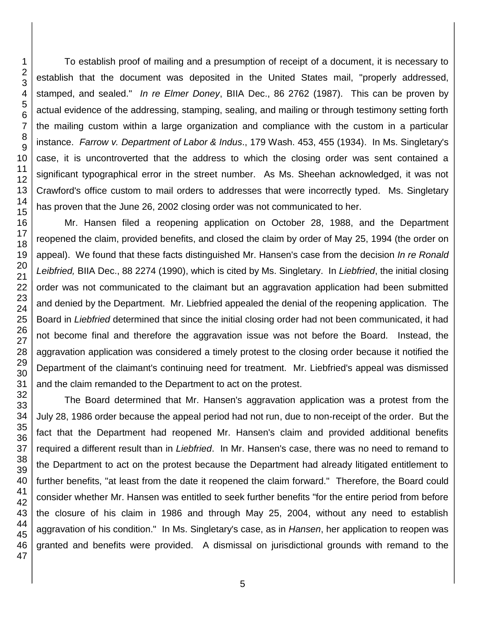To establish proof of mailing and a presumption of receipt of a document, it is necessary to establish that the document was deposited in the United States mail, "properly addressed, stamped, and sealed." *In re Elmer Doney*, BIIA Dec., 86 2762 (1987). This can be proven by actual evidence of the addressing, stamping, sealing, and mailing or through testimony setting forth the mailing custom within a large organization and compliance with the custom in a particular instance. *Farrow v. Department of Labor & Indus*., 179 Wash. 453, 455 (1934). In Ms. Singletary's case, it is uncontroverted that the address to which the closing order was sent contained a significant typographical error in the street number. As Ms. Sheehan acknowledged, it was not Crawford's office custom to mail orders to addresses that were incorrectly typed. Ms. Singletary has proven that the June 26, 2002 closing order was not communicated to her.

Mr. Hansen filed a reopening application on October 28, 1988, and the Department reopened the claim, provided benefits, and closed the claim by order of May 25, 1994 (the order on appeal). We found that these facts distinguished Mr. Hansen's case from the decision *In re Ronald Leibfried,* BIIA Dec., 88 2274 (1990), which is cited by Ms. Singletary. In *Liebfried*, the initial closing order was not communicated to the claimant but an aggravation application had been submitted and denied by the Department. Mr. Liebfried appealed the denial of the reopening application. The Board in *Liebfried* determined that since the initial closing order had not been communicated, it had not become final and therefore the aggravation issue was not before the Board. Instead, the aggravation application was considered a timely protest to the closing order because it notified the Department of the claimant's continuing need for treatment. Mr. Liebfried's appeal was dismissed and the claim remanded to the Department to act on the protest.

The Board determined that Mr. Hansen's aggravation application was a protest from the July 28, 1986 order because the appeal period had not run, due to non-receipt of the order. But the fact that the Department had reopened Mr. Hansen's claim and provided additional benefits required a different result than in *Liebfried*. In Mr. Hansen's case, there was no need to remand to the Department to act on the protest because the Department had already litigated entitlement to further benefits, "at least from the date it reopened the claim forward." Therefore, the Board could consider whether Mr. Hansen was entitled to seek further benefits "for the entire period from before the closure of his claim in 1986 and through May 25, 2004, without any need to establish aggravation of his condition." In Ms. Singletary's case, as in *Hansen*, her application to reopen was granted and benefits were provided. A dismissal on jurisdictional grounds with remand to the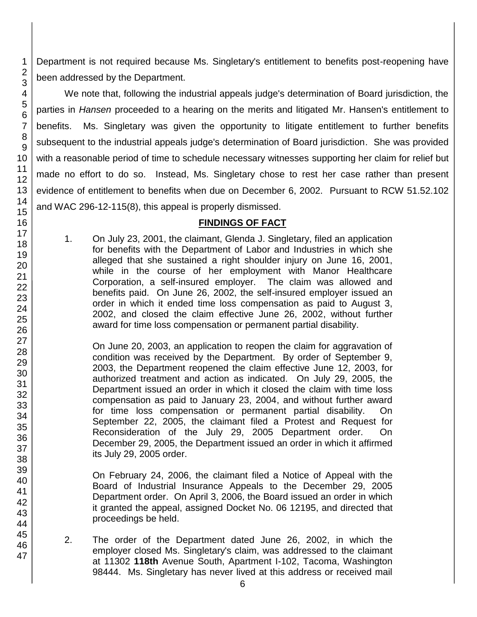Department is not required because Ms. Singletary's entitlement to benefits post-reopening have been addressed by the Department.

We note that, following the industrial appeals judge's determination of Board jurisdiction, the parties in *Hansen* proceeded to a hearing on the merits and litigated Mr. Hansen's entitlement to benefits. Ms. Singletary was given the opportunity to litigate entitlement to further benefits subsequent to the industrial appeals judge's determination of Board jurisdiction. She was provided with a reasonable period of time to schedule necessary witnesses supporting her claim for relief but made no effort to do so. Instead, Ms. Singletary chose to rest her case rather than present evidence of entitlement to benefits when due on December 6, 2002. Pursuant to RCW 51.52.102 and WAC 296-12-115(8), this appeal is properly dismissed.

### **FINDINGS OF FACT**

1. On July 23, 2001, the claimant, Glenda J. Singletary, filed an application for benefits with the Department of Labor and Industries in which she alleged that she sustained a right shoulder injury on June 16, 2001, while in the course of her employment with Manor Healthcare Corporation, a self-insured employer. The claim was allowed and benefits paid. On June 26, 2002, the self-insured employer issued an order in which it ended time loss compensation as paid to August 3, 2002, and closed the claim effective June 26, 2002, without further award for time loss compensation or permanent partial disability.

On June 20, 2003, an application to reopen the claim for aggravation of condition was received by the Department. By order of September 9, 2003, the Department reopened the claim effective June 12, 2003, for authorized treatment and action as indicated. On July 29, 2005, the Department issued an order in which it closed the claim with time loss compensation as paid to January 23, 2004, and without further award for time loss compensation or permanent partial disability. On September 22, 2005, the claimant filed a Protest and Request for Reconsideration of the July 29, 2005 Department order. On December 29, 2005, the Department issued an order in which it affirmed its July 29, 2005 order.

On February 24, 2006, the claimant filed a Notice of Appeal with the Board of Industrial Insurance Appeals to the December 29, 2005 Department order. On April 3, 2006, the Board issued an order in which it granted the appeal, assigned Docket No. 06 12195, and directed that proceedings be held.

2. The order of the Department dated June 26, 2002, in which the employer closed Ms. Singletary's claim, was addressed to the claimant at 11302 **118th** Avenue South, Apartment I-102, Tacoma, Washington 98444. Ms. Singletary has never lived at this address or received mail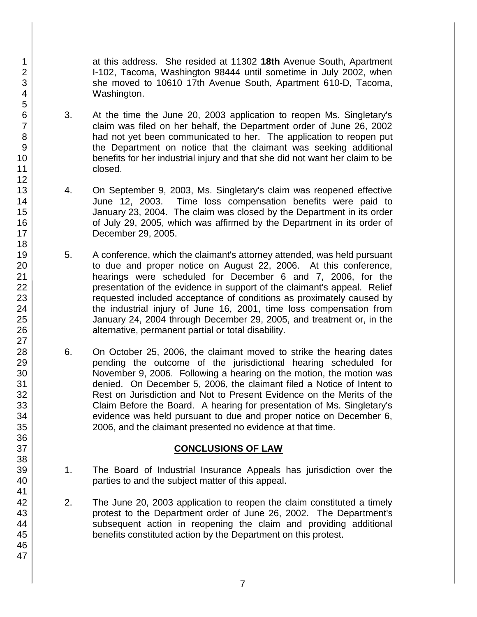at this address. She resided at 11302 **18th** Avenue South, Apartment I-102, Tacoma, Washington 98444 until sometime in July 2002, when she moved to 10610 17th Avenue South, Apartment 610-D, Tacoma, Washington.

- 3. At the time the June 20, 2003 application to reopen Ms. Singletary's claim was filed on her behalf, the Department order of June 26, 2002 had not yet been communicated to her. The application to reopen put the Department on notice that the claimant was seeking additional benefits for her industrial injury and that she did not want her claim to be closed.
- 4. On September 9, 2003, Ms. Singletary's claim was reopened effective June 12, 2003. Time loss compensation benefits were paid to January 23, 2004. The claim was closed by the Department in its order of July 29, 2005, which was affirmed by the Department in its order of December 29, 2005.
- 5. A conference, which the claimant's attorney attended, was held pursuant to due and proper notice on August 22, 2006. At this conference, hearings were scheduled for December 6 and 7, 2006, for the presentation of the evidence in support of the claimant's appeal. Relief requested included acceptance of conditions as proximately caused by the industrial injury of June 16, 2001, time loss compensation from January 24, 2004 through December 29, 2005, and treatment or, in the alternative, permanent partial or total disability.
- 6. On October 25, 2006, the claimant moved to strike the hearing dates pending the outcome of the jurisdictional hearing scheduled for November 9, 2006. Following a hearing on the motion, the motion was denied. On December 5, 2006, the claimant filed a Notice of Intent to Rest on Jurisdiction and Not to Present Evidence on the Merits of the Claim Before the Board. A hearing for presentation of Ms. Singletary's evidence was held pursuant to due and proper notice on December 6, 2006, and the claimant presented no evidence at that time.

### **CONCLUSIONS OF LAW**

- 1. The Board of Industrial Insurance Appeals has jurisdiction over the parties to and the subject matter of this appeal.
- 2. The June 20, 2003 application to reopen the claim constituted a timely protest to the Department order of June 26, 2002. The Department's subsequent action in reopening the claim and providing additional benefits constituted action by the Department on this protest.